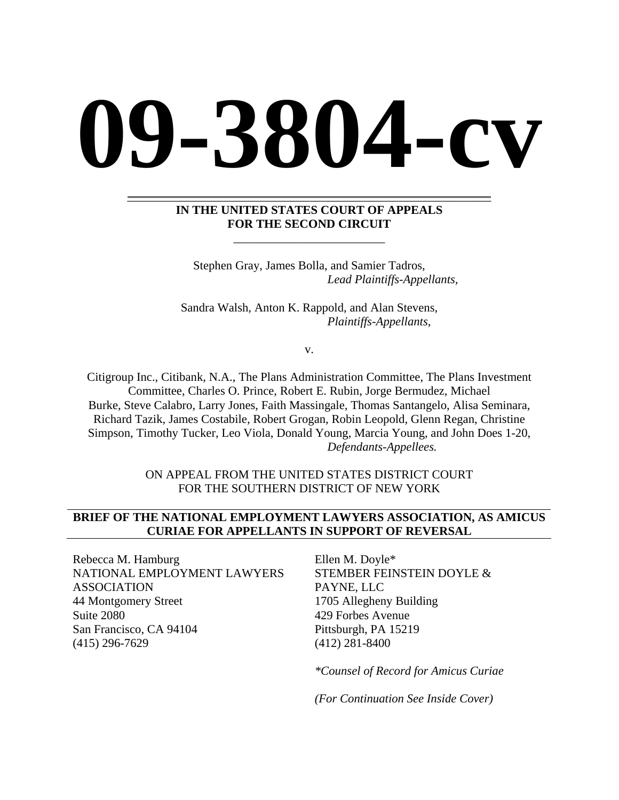# **09-3804-cv**

#### **IN THE UNITED STATES COURT OF APPEALS FOR THE SECOND CIRCUIT**

\_\_\_\_\_\_\_\_\_\_\_\_\_\_\_\_\_\_\_\_\_\_\_\_\_

\_\_\_\_\_\_\_\_\_\_\_\_\_\_\_\_\_\_\_\_\_\_\_\_\_\_\_\_\_\_\_\_\_\_\_\_\_\_\_\_\_\_\_\_\_\_\_\_\_\_\_\_\_\_\_\_\_\_\_\_

Stephen Gray, James Bolla, and Samier Tadros,  *Lead Plaintiffs-Appellants,* 

Sandra Walsh, Anton K. Rappold, and Alan Stevens,  *Plaintiffs-Appellants*,

v.

Citigroup Inc., Citibank, N.A., The Plans Administration Committee, The Plans Investment Committee, Charles O. Prince, Robert E. Rubin, Jorge Bermudez, Michael Burke, Steve Calabro, Larry Jones, Faith Massingale, Thomas Santangelo, Alisa Seminara, Richard Tazik, James Costabile, Robert Grogan, Robin Leopold, Glenn Regan, Christine Simpson, Timothy Tucker, Leo Viola, Donald Young, Marcia Young, and John Does 1-20,  *Defendants-Appellees.* 

> ON APPEAL FROM THE UNITED STATES DISTRICT COURT FOR THE SOUTHERN DISTRICT OF NEW YORK

## **BRIEF OF THE NATIONAL EMPLOYMENT LAWYERS ASSOCIATION, AS AMICUS CURIAE FOR APPELLANTS IN SUPPORT OF REVERSAL**

Rebecca M. Hamburg NATIONAL EMPLOYMENT LAWYERS ASSOCIATION 44 Montgomery Street Suite 2080 San Francisco, CA 94104 (415) 296-7629

Ellen M. Doyle\* STEMBER FEINSTEIN DOYLE & PAYNE, LLC 1705 Allegheny Building 429 Forbes Avenue Pittsburgh, PA 15219 (412) 281-8400

*\*Counsel of Record for Amicus Curiae* 

*(For Continuation See Inside Cover)*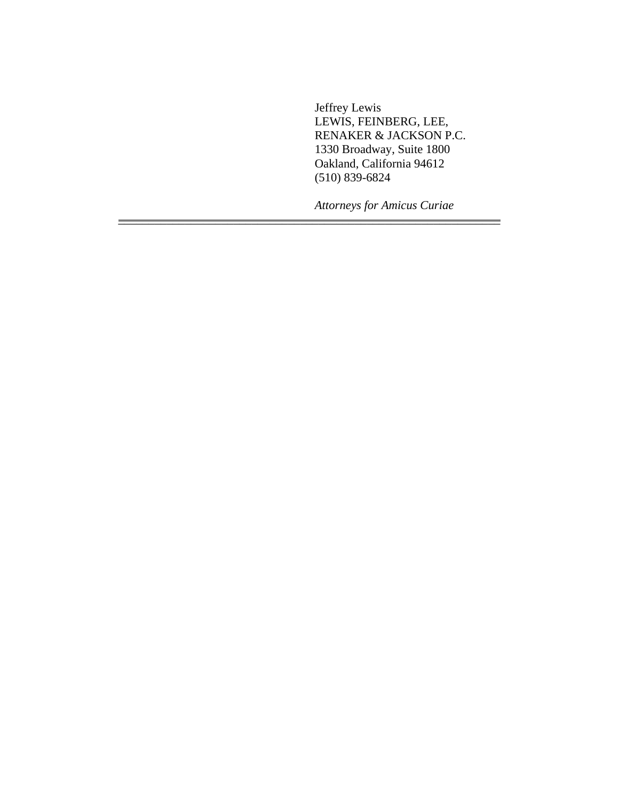Jeffrey Lewis LEWIS, FEINBERG, LEE, RENAKER & JACKSON P.C. 1330 Broadway, Suite 1800 Oakland, California 94612 (510) 839-6824

*Attorneys for Amicus Curiae*

\_\_\_\_\_\_\_\_\_\_\_\_\_\_\_\_\_\_\_\_\_\_\_\_\_\_\_\_\_\_\_\_\_\_\_\_\_\_\_\_\_\_\_\_\_\_\_\_\_\_\_\_\_\_\_\_\_\_\_\_\_\_\_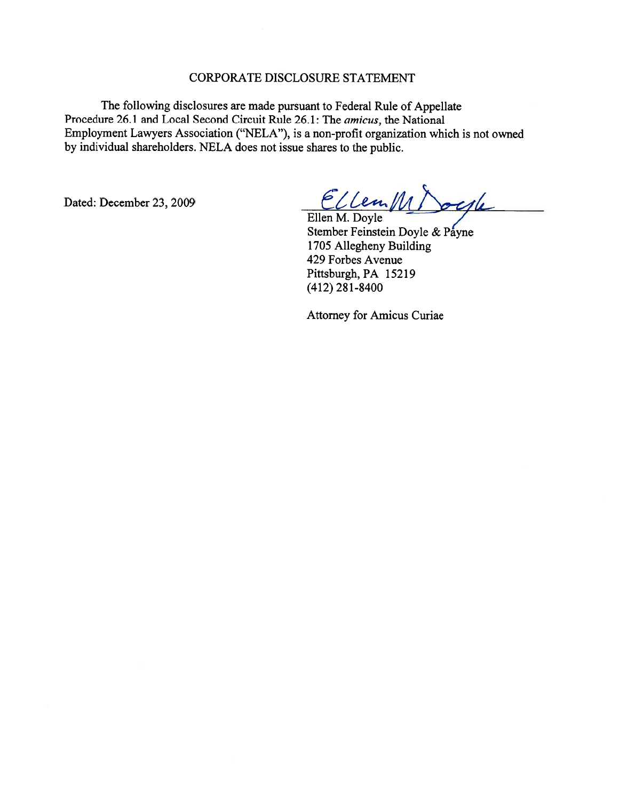#### CORPORATE DISCLOSURE STATEMENT

The following disclosures are made pursuan<sup>t</sup> to Federal Rule of Appellate Procedure 26.1 and Local Second Circuit Rule 26.1: The amicus, the National Employment Lawyers Association ("NELA"), is <sup>a</sup> non-profit organization which is not owned by individual shareholders. NELA does not issue shares to the public.

Dated: December 23, 2009

Ellen MDocyle

Stember Feinstein Doyle & Payne 1705 Allegheny Building 429 Forbes Avenue Pittsburgh, PA 15219 (412) 281-8400

Attorney for Amicus Curiae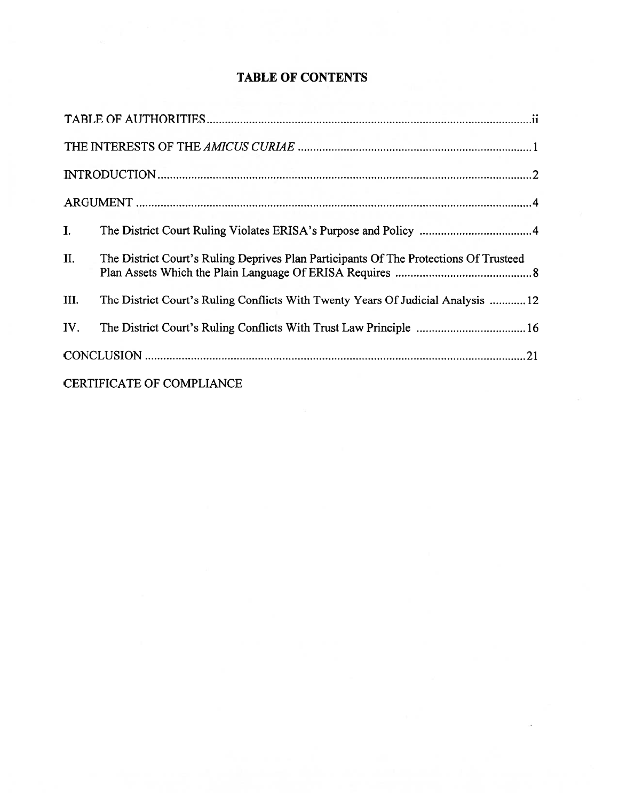| I.   |                                                                                       |  |
|------|---------------------------------------------------------------------------------------|--|
| II.  | The District Court's Ruling Deprives Plan Participants Of The Protections Of Trusteed |  |
| III. | The District Court's Ruling Conflicts With Twenty Years Of Judicial Analysis  12      |  |
| IV.  |                                                                                       |  |
|      |                                                                                       |  |
|      | <b>CERTIFICATE OF COMPLIANCE</b>                                                      |  |

# TABLE OF CONTENTS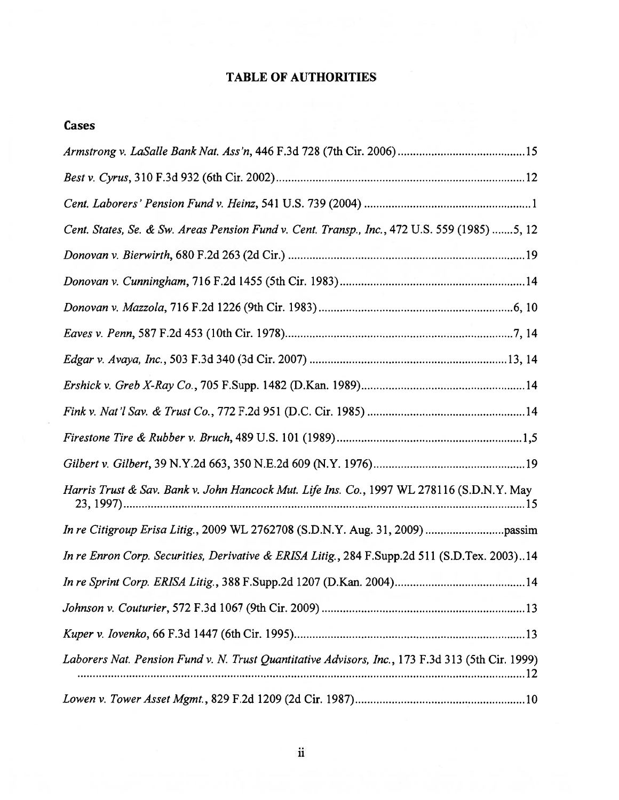# TABLE OF AUTHORITIES

# Cases

| Cent. States, Se. & Sw. Areas Pension Fund v. Cent. Transp., Inc., 472 U.S. 559 (1985) 5, 12     |
|--------------------------------------------------------------------------------------------------|
|                                                                                                  |
|                                                                                                  |
|                                                                                                  |
|                                                                                                  |
|                                                                                                  |
|                                                                                                  |
|                                                                                                  |
|                                                                                                  |
|                                                                                                  |
| Harris Trust & Sav. Bank v. John Hancock Mut. Life Ins. Co., 1997 WL 278116 (S.D.N.Y. May        |
|                                                                                                  |
| In re Enron Corp. Securities, Derivative & ERISA Litig., 284 F.Supp.2d 511 (S.D.Tex. 2003)14     |
|                                                                                                  |
|                                                                                                  |
|                                                                                                  |
| Laborers Nat. Pension Fund v. N. Trust Quantitative Advisors, Inc., 173 F.3d 313 (5th Cir. 1999) |
|                                                                                                  |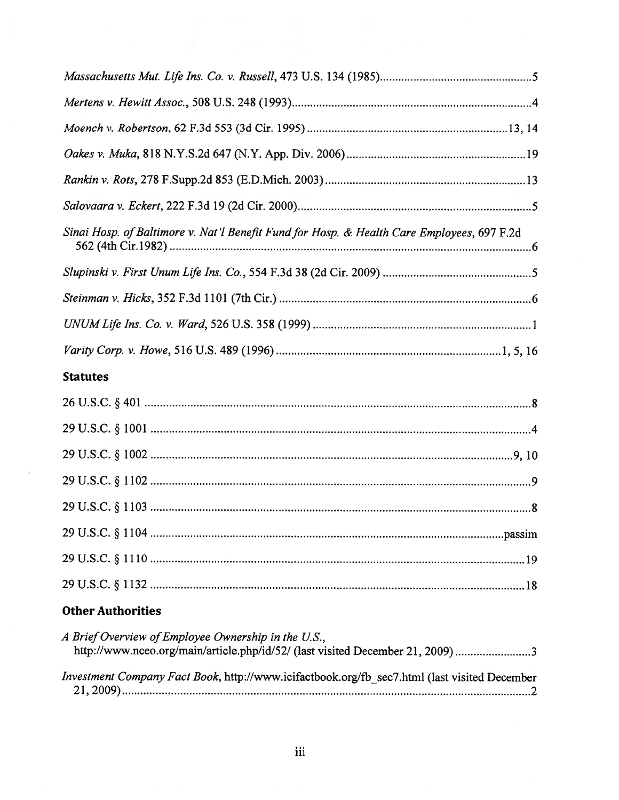## Statutes

 $\widetilde{\mathcal{M}}$ 

# Other Authorities

| A Brief Overview of Employee Ownership in the U.S.,                                          |  |
|----------------------------------------------------------------------------------------------|--|
| http://www.nceo.org/main/article.php/id/52/ (last visited December 21, 2009)3                |  |
|                                                                                              |  |
| Investment Company Fact Book, http://www.icifactbook.org/fb sec7.html (last visited December |  |
|                                                                                              |  |
|                                                                                              |  |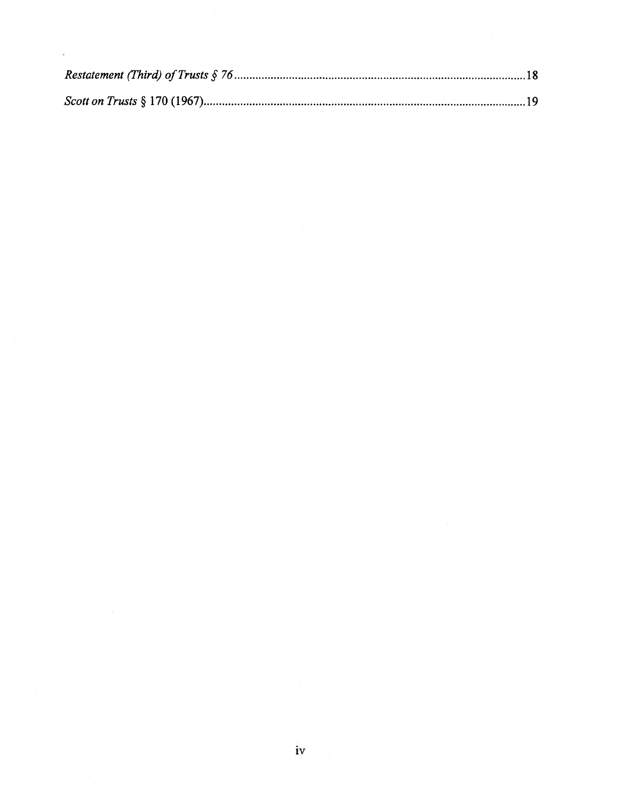i,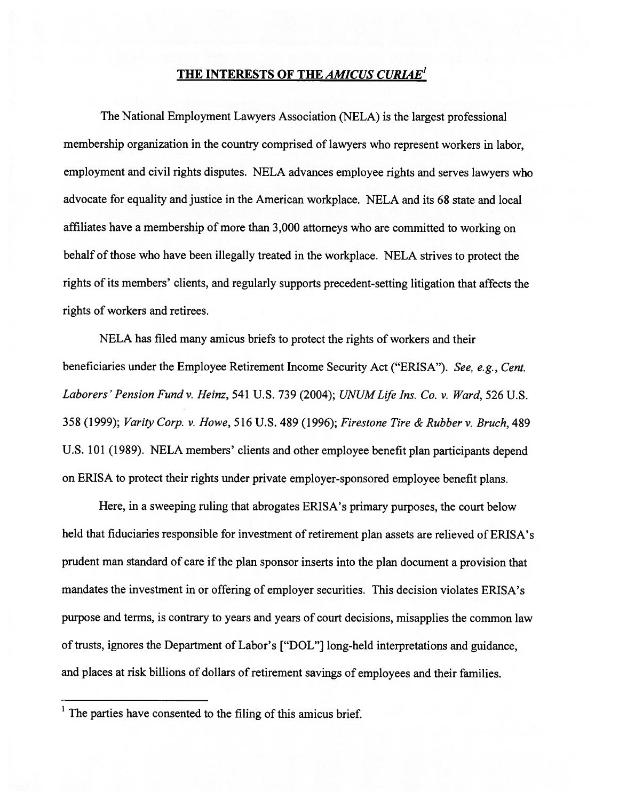## THE INTERESTS OF THE AMICUS CURIAE'

The National Employment Lawyers Association (NELA) is the largest professional membership organization in the country comprised of lawyers who represen<sup>t</sup> workers in labor, employment and civil rights disputes. NELA advances employee rights and serves lawyers who advocate for equality and justice in the American workplace. NELA and its 68 state and local affiliates have <sup>a</sup> membership of more than 3,000 attorneys who are committed to working on behalf of those who have been illegally treated in the workplace. NELA strives to protect the rights of its members' clients, and regularly supports precedent-setting litigation that affects the rights of workers and retirees.

NELA has filed many amicus briefs to protect the rights of workers and their beneficiaries under the Employee Retirement Income Security Act ("ERISA"). See, e.g., Cent. Laborers' Pension Fund v. Heinz, 541 U.S. 739 (2004); UNUM Life Ins. Co. v. Ward, 526 U.S. 358 (1999); Varity Corp. v. Howe, 516 U.S. 489 (1996); Firestone Tire & Rubber v. Bruch, 489 U.S. <sup>101</sup> (1989). NELA members' clients and other employee benefit <sup>p</sup>lan participants depend on ERISA to protect their rights under private employer-sponsored employee benefit <sup>p</sup>lans.

Here, in <sup>a</sup> sweeping ruling that abrogates ERISA's primary purposes, the court below held that fiduciaries responsible for investment of retirement <sup>p</sup>lan assets are relieved of ERISA's prudent man standard of care if the plan sponsor inserts into the plan document a provision that mandates the investment in or offering of employer securities. This decision violates ERISA's purpose and terms, is contrary to years and years of court decisions, misapplies the common law of trusts, ignores the Department of Labor's ["DOL"] long-held interpretations and guidance, and places at risk billions of dollars of retirement savings of employees and their families.

 $<sup>1</sup>$  The parties have consented to the filing of this amicus brief.</sup>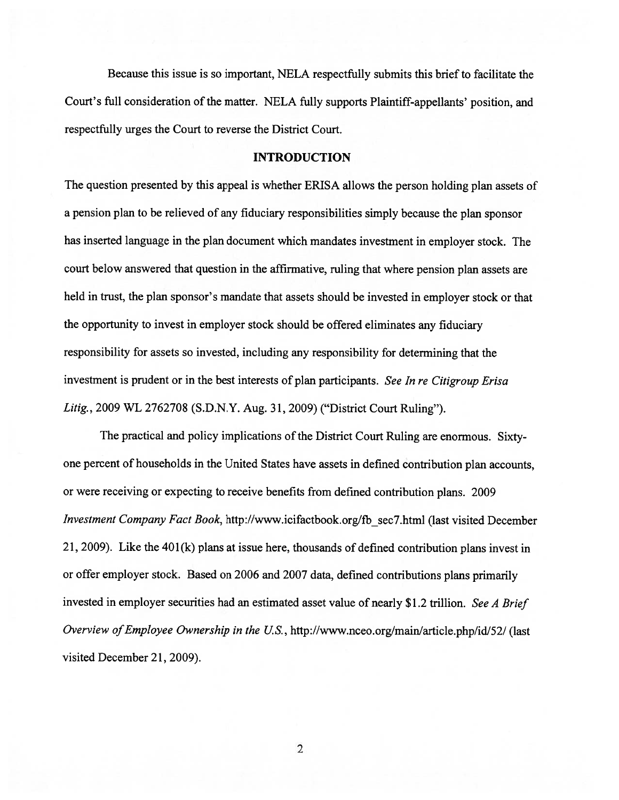Because this issue is so important, NELA respectfully submits this briefto facilitate the Court's full consideration of the matter. NELA fully supports Plaintiff-appellants' position, and respectfully urges the Court to reverse the District Court.

#### INTRODUCTION

The question presented by this appea<sup>l</sup> is whether ERISA allows the person holding <sup>p</sup>lan assets of <sup>a</sup> pension <sup>p</sup>lan to be relieved of any fiduciary responsibilities simply because the <sup>p</sup>lan sponsor has inserted language in the <sup>p</sup>lan document which mandates investment in employer stock. The court below answered that question in the affirmative, ruling that where pension plan assets are held in trust, the <sup>p</sup>lan sponsor's mandate that assets should be invested in employer stock or that the opportunity to invest in employer stock should be offered eliminates any fiduciary responsibility for assets so invested, including any responsibility for determining that the investment is prudent or in the best interests of <sup>p</sup>lan participants. See In re Citigroup Erisa Litig., 2009 WL 2762708 (S.D.N.Y. Aug. 31, 2009) ("District Court Ruling").

The practical and policy implications of the District Court Ruling are enormous. Sixtyone percen<sup>t</sup> of households in the United States have assets in defined contribution <sup>p</sup>lan accounts, or were receiving or expecting to receive benefits from defined contribution <sup>p</sup>lans. <sup>2009</sup> Investment Company Fact Book, http://www.icifactbook.org/fb sec7.html (last visited December 21, 2009). Like the 401(k) <sup>p</sup>lans at issue here, thousands of defined contribution <sup>p</sup>lans invest in or offer employer stock. Based on <sup>2006</sup> and <sup>2007</sup> data, defined contributions <sup>p</sup>lans primarily invested in employer securities had an estimated asset value of nearly \$1.2 trillion. See <sup>A</sup> Brief Overview of Employee Ownership in the U.S., http://www.nceo.org/main/article.php/id/52/ (last visited December 21, 2009).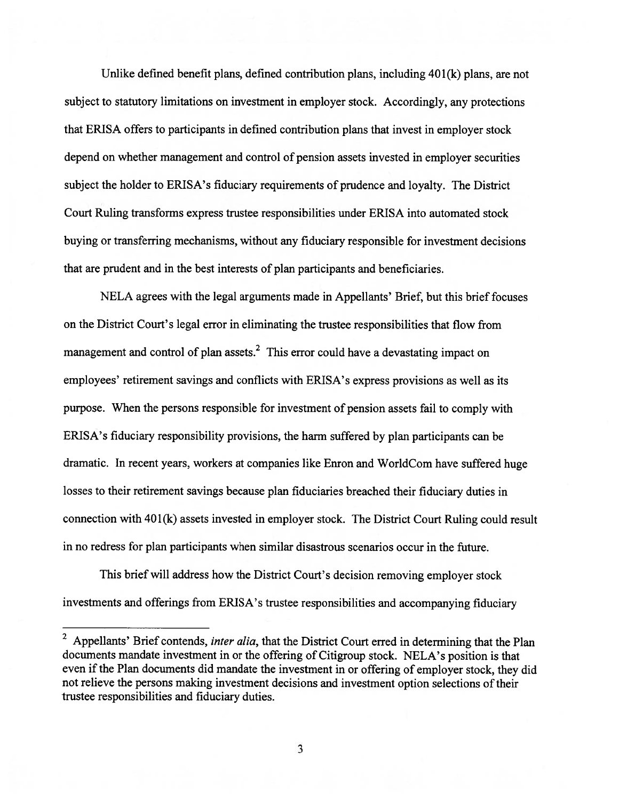Unlike defined benefit plans, defined contribution plans, including 40 1(k) plans, are not subject to statutory limitations on investment in employer stock. Accordingly, any protections that ERISA offers to participants in defined contribution plans that invest in employer stock depend on whether managemen<sup>t</sup> and control of pension assets invested in employer securities subject the holder to ERISA's fiduciary requirements of prudence and loyalty. The District Court Ruling transforms express trustee responsibilities under ERISA into automated stock buying or transferring mechanisms, without any fiduciary responsible for investment decisions that are prudent and in the best interests of plan participants and beneficiaries.

NELA agrees with the legal arguments made in Appellants' Brief, but this brief focuses on the District Court's legal error in eliminating the trustee responsibilities that flow from management and control of plan assets.<sup>2</sup> This error could have a devastating impact on employees' retirement savings and conflicts with ERISA's express provisions as well as its purpose. When the persons responsible for investment of pension assets fail to comply with ERISA's fiduciary responsibility provisions, the harm suffered by <sup>p</sup>lan participants can be dramatic. In recent years, workers at companies like Enron and WorldCom have suffered huge losses to their retirement savings because <sup>p</sup>lan fiduciaries breached their fiduciary duties in connection with 401(k) assets invested in employer stock. The District Court Ruling could result in no redress for plan participants when similar disastrous scenarios occur in the future.

This brief will address how the District Court's decision removing employer stock investments and offerings from ERISA's trustee responsibilities and accompanying fiduciary

<sup>&</sup>lt;sup>2</sup> Appellants' Brief contends, *inter alia*, that the District Court erred in determining that the Plan documents mandate investment in or the offering of Citigroup stock. NELA's position is that even if the Plan documents did mandate the investment in or offering of employer stock, they did not relieve the persons making investment decisions and investment option selections of their trustee responsibilities and fiduciary duties.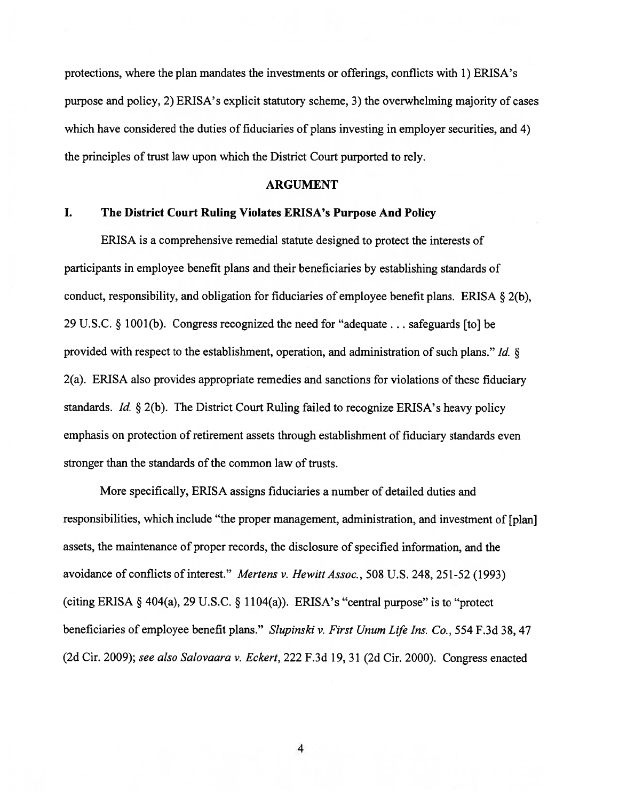protections, where the plan mandates the investments or offerings, conflicts with 1) ERISA's purpose and policy, 2) ERISA's explicit statutory scheme, 3) the overwhelming majority of cases which have considered the duties of fiduciaries of plans investing in employer securities, and 4) the principles of trust law upon which the District Court purported to rely.

#### ARGUMENT

#### I. The District Court Ruling Violates ERISA's Purpose And Policy

ERISA is <sup>a</sup> comprehensive remedial statute designed to protect the interests of participants in employee benefit plans and their beneficiaries by establishing standards of conduct, responsibility, and obligation for fiduciaries of employee benefit plans. ERISA  $\S$  2(b), <sup>29</sup> U.S.C. § 1001(b). Congress recognized the need for "adequate. . . safeguards [to] be provided with respec<sup>t</sup> to the establishment, operation, and administration of such <sup>p</sup>lans." Id. § 2(a). ERISA also provides appropriate remedies and sanctions for violations of these fiduciary standards. Id.  $\S 2(b)$ . The District Court Ruling failed to recognize ERISA's heavy policy emphasis on protection of retirement assets through establishment of fiduciary standards even stronger than the standards of the common law of trusts.

More specifically, ERISA assigns fiduciaries <sup>a</sup> number of detailed duties and responsibilities, which include "the proper management, administration, and investment of [plan] assets, the maintenance of proper records, the disclosure of specified information, and the avoidance of conflicts of interest." Mertens v. Hewitt Assoc., 508 U.S. 248, 251-52 (1993) (citing ERISA  $\S$  404(a), 29 U.S.C.  $\S$  1104(a)). ERISA's "central purpose" is to "protect beneficiaries of employee benefit plans." Slupinski v. First Unum Life Ins. Co., 554 F.3d 38, 47 (2d Cir. 2009); see also Salovaara v. Eckert, <sup>222</sup> F.3d 19, <sup>31</sup> (2d Cir. 2000). Congress enacted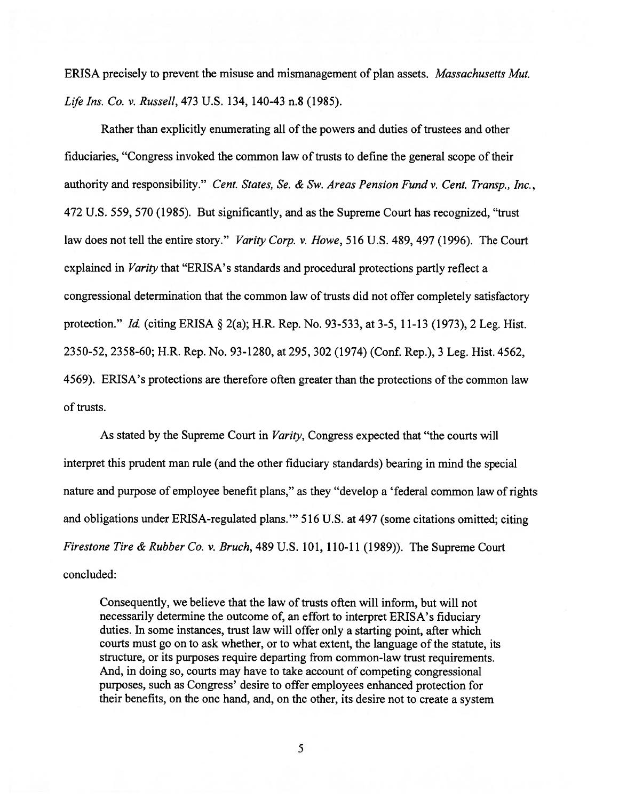ERISA precisely to preven<sup>t</sup> the misuse and mismanagement of plan assets. Massachusetts Mut. Lfe Ins. Co. v. Russell, 473 U.S. 134, 140-43 n.8 (1985).

Rather than explicitly enumerating all of the powers and duties of trustees and other fiduciaries, "Congress invoked the common law of trusts to define the general scope of their authority and responsibility." Cent. States, Se. & Sw. Areas Pension Fund v. Cent. Transp., Inc., 472 U.S. 559, 570 (1985). But significantly, and as the Supreme Court has recognized, "trust law does not tell the entire story." Varity Corp. v. Howe, 516 U.S. 489, 497 (1996). The Court explained in Varity that "ERISA's standards and procedural protections partly reflect <sup>a</sup> congressional determination that the common law of trusts did not offer completely satisfactory protection." Id. (citing ERISA § 2(a); H.R. Rep. No. 93-533, at 3-5, 11-13 (1973), <sup>2</sup> Leg. Hist. 2350-52, 2358-60; H.R. Rep. No. 93-1280, at 295, 302 (1974) (Conf. Rep.), 3 Leg. Hist. 4562, 4569). ERISA's protections are therefore often greater than the protections of the common law of trusts.

As stated by the Supreme Court in *Varity*, Congress expected that "the courts will interpret this prudent man rule (and the other fiduciary standards) bearing in mind the special nature and purpose of employee benefit plans," as they "develop <sup>a</sup> 'federal common law of rights and obligations under ERISA-regulated plans." 516 U.S. at 497 (some citations omitted; citing Firestone Tire & Rubber Co. v. Bruch, 489 U.S. 101, 110-11(1989)). The Supreme Court concluded:

Consequently, we believe that the law of trusts often will inform, but will not necessarily determine the outcome of, an effort to interpret ERISA's fiduciary duties. In some instances, trust law will offer only <sup>a</sup> starting point, after which courts must go on to ask whether, or to what extent, the language of the statute, its structure, or its purposes require departing from common-law trust requirements. And, in doing so, courts may have to take account of competing congressional purposes, such as Congress' desire to offer employees enhanced protection for their benefits, on the one hand, and, on the other, its desire not to create <sup>a</sup> system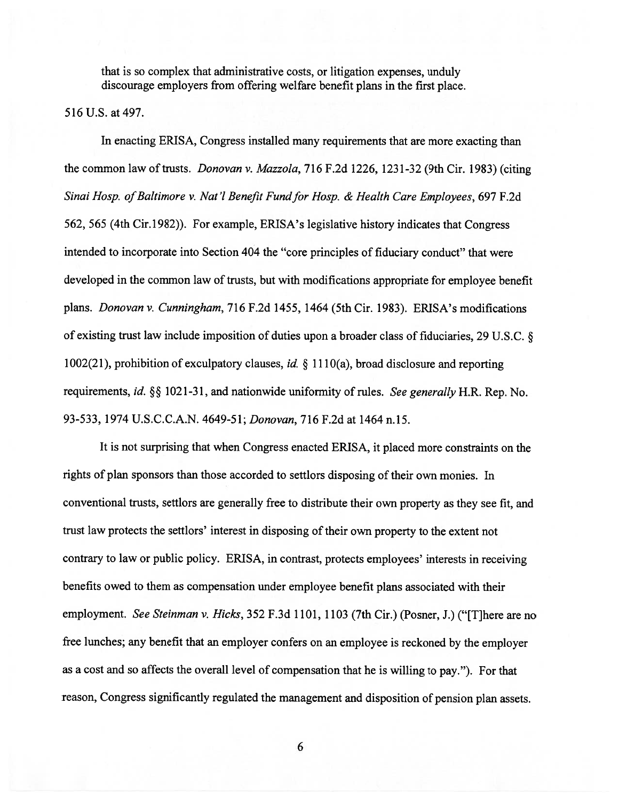that is so complex that administrative costs, or litigation expenses, unduly discourage employers from offering welfare benefit plans in the first place.

516 U.S. at 497.

In enacting ERISA, Congress installed many requirements that are more exacting than the common law of trusts. *Donovan v. Mazzola*, 716 F.2d 1226, 1231-32 (9th Cir. 1983) (citing Sinai Hosp. of Baltimore v. Nat'l Benefit Fund for Hosp. & Health Care Employees, 697 F.2d 562, 565 (4th Cir. 1982)). For example, ERISA's legislative history indicates that Congress intended to incorporate into Section 404 the "core principles of fiduciary conduct" that were developed in the common law of trusts, but with modifications appropriate for employee benefit plans. Donovan v. Cunningham, 716 F.2d 1455, 1464 (5th Cir. 1983). ERISA's modifications of existing trust law include imposition of duties upon <sup>a</sup> broader class of fiduciaries, <sup>29</sup> U.S.C. § 1002(21), prohibition of exculpatory clauses, id.  $\S$  1110(a), broad disclosure and reporting requirements, id. §§ 1021-31, and nationwide uniformity of rules. See generally H.R. Rep. No. 93-533, 1974 U.S.C.C.A.N. 4649-51; Donovan, 716 F.2d at 1464 n.15.

It is not surprising that when Congress enacted ERISA, it <sup>p</sup>laced more constraints on the rights of plan sponsors than those accorded to settlors disposing of their own monies. In conventional trusts, settlors are generally free to distribute their own property as they see fit, and trust law protects the settlors' interest in disposing of their own property to the extent not contrary to law or public policy. ERISA, in contrast, protects employees' interests in receiving benefits owed to them as compensation under employee benefit <sup>p</sup>lans associated with their employment. See Steinman v. Hicks, 352 F.3d 1101, 1103 (7th Cir.) (Posner, J.) ("There are no free lunches; any benefit that an employer confers on an employee is reckoned by the employer as <sup>a</sup> cost and so affects the overall level of compensation that he is willing to pay."). For that reason, Congress significantly regulated the managemen<sup>t</sup> and disposition of pension <sup>p</sup>lan assets.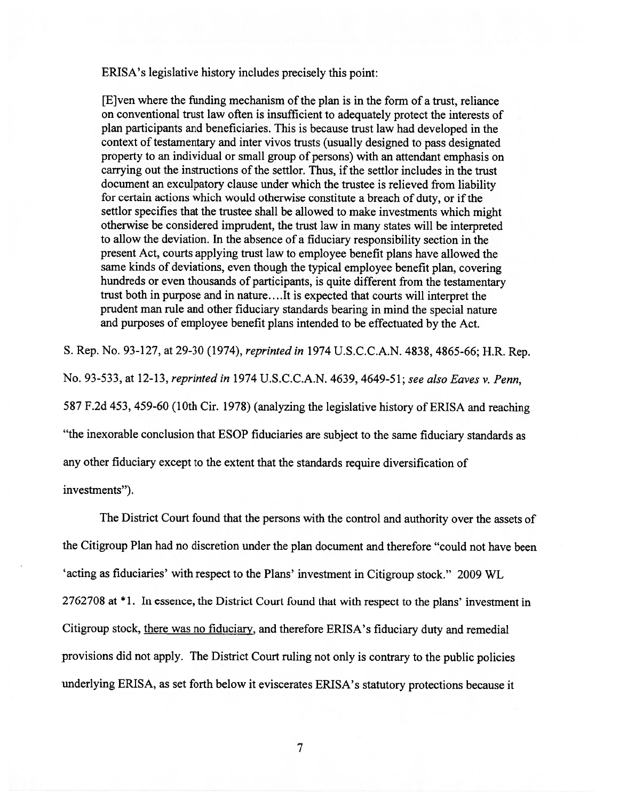ERISA's legislative history includes precisely this point:

[E]ven where the funding mechanism of the plan is in the form of <sup>a</sup> trust, reliance on conventional trust law often is insufficient to adequately protect the interests of <sup>p</sup>lan participants and beneficiaries. This is because trust law had developed in the context of testamentary and inter vivos trusts (usually designed to pass designated property to an individual or small group of persons) with an attendant emphasis on carrying out the instructions of the settlor. Thus, if the settlor includes in the trust document an exculpatory clause under which the trustee is relieved from liability for certain actions which would otherwise constitute a breach of duty, or if the settlor specifies that the trustee shall be allowed to make investments which might otherwise be considered imprudent, the trust law in many states will be interpreted to allow the deviation. In the absence of <sup>a</sup> fiduciary responsibility section in the presen<sup>t</sup> Act, courts applying trust law to employee benefit plans have allowed the same kinds of deviations, even though the typical employee benefit <sup>p</sup>lan, covering hundreds or even thousands of participants, is quite different from the testamentary trust both in purpose and in nature... .It is expected that courts will interpret the prudent man rule and other fiduciary standards bearing in mind the special nature and purposes of employee benefit <sup>p</sup>lans intended to be effectuated by the Act.

S. Rep. No. 93-127, at 29-30 (1974), reprinted in 1974 U.S.C.C.A.N. 4838, 4865-66; H.R. Rep.

No. 93-533, at 12-13, reprinted in 1974 U.S.C.C.A.N. 4639, 4649-51; see also Eaves v. Penn, <sup>587</sup> F.2d 453, 459-60 (10th Cir. 1978) (analyzing the legislative history of ERISA and reaching "the inexorable conclusion that ESOP fiduciaries are subject to the same fiduciary standards as

any other fiduciary excep<sup>t</sup> to the extent that the standards require diversification of

investments").

The District Court found that the persons with the control and authority over the assets of the Citigroup Plan had no discretion under the <sup>p</sup>lan document and therefore "could not have been 'acting as fiduciaries' with respec<sup>t</sup> to the Plans' investment in Citigroup stock." 2009 WL <sup>2762708</sup> at \* 1. In essence, the District Court found that with respec<sup>t</sup> to the <sup>p</sup>lans' investment in Citigroup stock, there was no fiduciary, and therefore ERISA's fiduciary duty and remedial provisions did not apply. The District Court ruling not only is contrary to the public policies underlying ERISA, as set forth below it eviscerates ERISA's statutory protections because it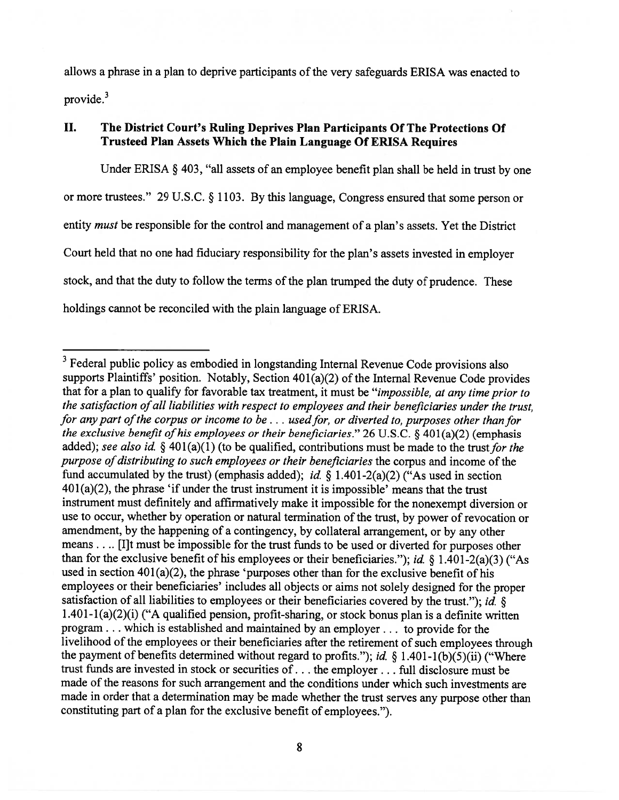allows <sup>a</sup> <sup>p</sup>hrase in <sup>a</sup> <sup>p</sup>lan to deprive participants of the very safeguards ERISA was enacted to provide.<sup>3</sup>

## II. The District Court's Ruling Deprives Plan Participants Of The Protections Of Trusteed Plan Assets Which the Plain Language Of ERISA Requires

Under ERISA § 403, "all assets of an employee benefit <sup>p</sup>lan shall be held in trust by one or more trustees." <sup>29</sup> U.S.C. § 1103. By this language, congress ensured that some person or entity *must* be responsible for the control and management of a plan's assets. Yet the District Court held that no one had fiduciary responsibility for the <sup>p</sup>lan's assets invested in employer stock, and that the duty to follow the terms of the <sup>p</sup>lan trumped the duty of prudence. These holdings cannot be reconciled with the <sup>p</sup>lain language of ERISA.

<sup>&</sup>lt;sup>3</sup> Federal public policy as embodied in longstanding Internal Revenue Code provisions also supports Plaintiffs' position. Notably, Section 401(a)(2) of the Internal Revenue Code provides that for <sup>a</sup> <sup>p</sup>lan to qualify for favorable tax treatment, it must be "impossible, at any time prior to the satisfaction of all liabilities with respect to employees and their beneficiaries under the trust, for any part of the corpus or income to be  $\dots$  used for, or diverted to, purposes other than for the exclusive benefit of his employees or their beneficiaries." 26 U.S.C.  $\S$  401(a)(2) (emphasis added); see also id. § 401(a)(1) (to be qualified, contributions must be made to the trust for the purpose of distributing to such employees or their beneficiaries the corpus and income of the fund accumulated by the trust) (emphasis added); id.  $\S$  1.401-2(a)(2) ("As used in section  $401(a)(2)$ , the phrase 'if under the trust instrument it is impossible' means that the trust instrument must definitely and affirmatively make it impossible for the nonexemp<sup>t</sup> diversion or use to occur, whether by operation or natural termination of the trust, by power of revocation or amendment, by the happening of <sup>a</sup> contingency, by collateral arrangement, or by any other means.... [I]t must be impossible for the trust funds to be used or diverted for purposes other than for the exclusive benefit of his employees or their beneficiaries."); *id.* § 1.401-2(a)(3) ("As used in section 401(a)(2), the phrase 'purposes other than for the exclusive benefit of his employees or their beneficiaries' includes all objects or aims not solely designed for the proper satisfaction of all liabilities to employees or their beneficiaries covered by the trust."); *id.*  $\S$  $1.401 - 1(a)(2)(i)$  ("A qualified pension, profit-sharing, or stock bonus plan is a definite written program. . . which is established and maintained by an employer.., to provide for the livelihood of the employees or their beneficiaries after the retirement of such employees through the payment of benefits determined without regard to profits."); id. § 1.401-1(b)(5)(ii) ("Where trust funds are invested in stock or securities of. . . the employer. . . full disclosure must be made of the reasons for such arrangemen<sup>t</sup> and the conditions under which such investments are made in order that <sup>a</sup> determination may be made whether the trust serves any purpose other than constituting par<sup>t</sup> of <sup>a</sup> <sup>p</sup>lan for the exclusive benefit of employees.").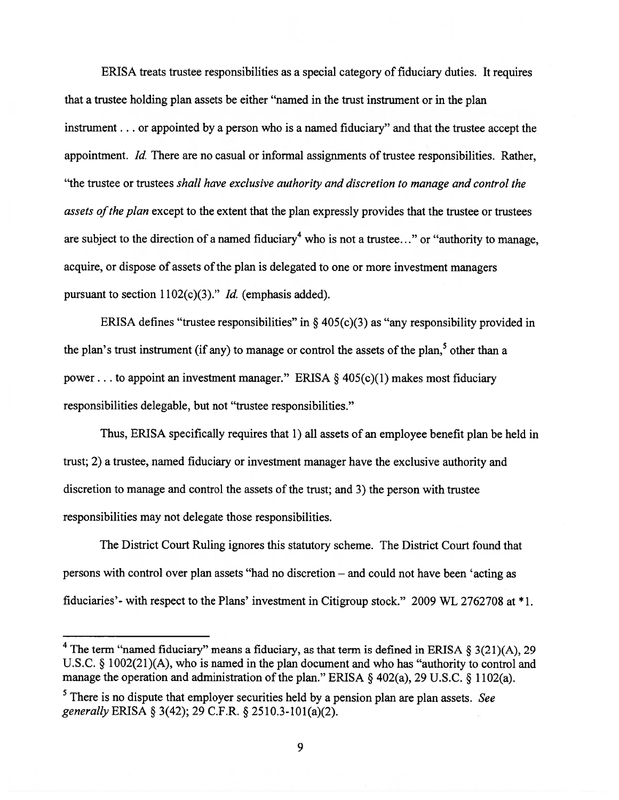ERISA treats trustee responsibilities as <sup>a</sup> special category of fiduciary duties. It requires that <sup>a</sup> trustee holding plan assets be either "named in the trust instrument or in the plan instrument. . . or appointed by <sup>a</sup> person who is <sup>a</sup> named fiduciary" and that the trustee accep<sup>t</sup> the appointment. Id. There are no casual or informal assignments of trustee responsibilities. Rather, "the trustee or trustees shall have exclusive authority and discretion to manage and control the assets of the plan except to the extent that the plan expressly provides that the trustee or trustees are subject to the direction of a named fiduciary<sup>4</sup> who is not a trustee..." or "authority to manage, acquire, or dispose of assets of the plan is delegated to one or more investment managers pursuant to section  $1102(c)(3)$ ." *Id.* (emphasis added).

ERISA defines "trustee responsibilities" in  $\S$  405(c)(3) as "any responsibility provided in the plan's trust instrument (if any) to manage or control the assets of the plan,<sup>5</sup> other than a power... to appoint an investment manager." ERISA  $\S$  405(c)(1) makes most fiduciary responsibilities delegable, but not "trustee responsibilities."

Thus, ERISA specifically requires that 1) all assets of an employee benefit plan be held in trust; 2) <sup>a</sup> trustee, named fiduciary or investment manager have the exclusive authority and discretion to manage and control the assets of the trust; and 3) the person with trustee responsibilities may not delegate those responsibilities.

The District Court Ruling ignores this statutory scheme. The District Court found that persons with control over plan assets "had no discretion — and could not have been 'acting as fiduciaries'- with respec<sup>t</sup> to the Plans' investment in Citigroup stock." <sup>2009</sup> WL <sup>2762708</sup> at \*1.

<sup>&</sup>lt;sup>4</sup> The term "named fiduciary" means a fiduciary, as that term is defined in ERISA § 3(21)(A), 29 U.S.C. § 1002(21)(A), who is named in the <sup>p</sup>lan document and who has "authority to control and manage the operation and administration of the plan." ERISA § 402(a), 29 U.S.C. § 1102(a).

 $<sup>5</sup>$  There is no dispute that employer securities held by a pension plan are plan assets. See</sup> generally ERISA § 3(42); <sup>29</sup> C.F.R. § 2510.3-101(a)(2).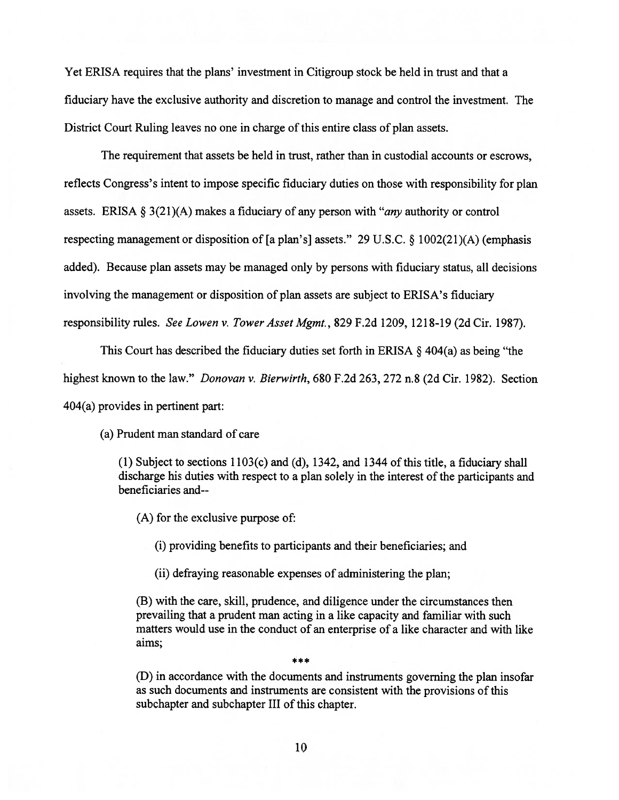Yet ERISA requires that the plans' investment in Citigroup stock be held in trust and that <sup>a</sup> fiduciary have the exclusive authority and discretion to manage and control the investment. The District Court Ruling leaves no one in charge of this entire class of plan assets.

The requirement that assets be held in trust, rather than in custodial accounts or escrows, reflects Congress's intent to impose specific fiduciary duties on those with responsibility for plan assets. ERISA  $\S 3(21)(A)$  makes a fiduciary of any person with "*any* authority or control respecting managemen<sup>t</sup> or disposition of [a <sup>p</sup>lan's] assets." <sup>29</sup> U.S.C. § 1002(21)(A) (emphasis added). Because plan assets may be managed only by persons with fiduciary status, all decisions involving the managemen<sup>t</sup> or disposition of plan assets are subject to ERISA's fiduciary responsibility rules. See Lowen v. Tower Asset Mgmt., 829 F.2d 1209, 1218-19 (2d Cir. 1987).

This Court has described the fiduciary duties set forth in ERISA § 404(a) as being "the highest known to the law." Donovan v. Bierwirth, 680 F.2d 263, 272 n.8 (2d Cir. 1982). Section 404(a) provides in pertinent part:

(a) Prudent man standard of care

 $(1)$  Subject to sections  $1103(c)$  and  $(d)$ ,  $1342$ , and  $1344$  of this title, a fiduciary shall discharge his duties with respect to a plan solely in the interest of the participants and beneficiaries and--

(A) for the exclusive purpose of:

(i) providing benefits to participants and their beneficiaries; and

(ii) defraying reasonable expenses of administering the plan;

(B) with the care, skill, prudence, and diligence under the circumstances then prevailing that <sup>a</sup> prudent man acting in <sup>a</sup> like capacity and familiar with such matters would use in the conduct of an enterprise of <sup>a</sup> like character and with like aims;

(D) in accordance with the documents and instruments governing the plan insofar as such documents and instruments are consistent with the provisions of this subchapter and subchapter III of this chapter.

یو یو ایو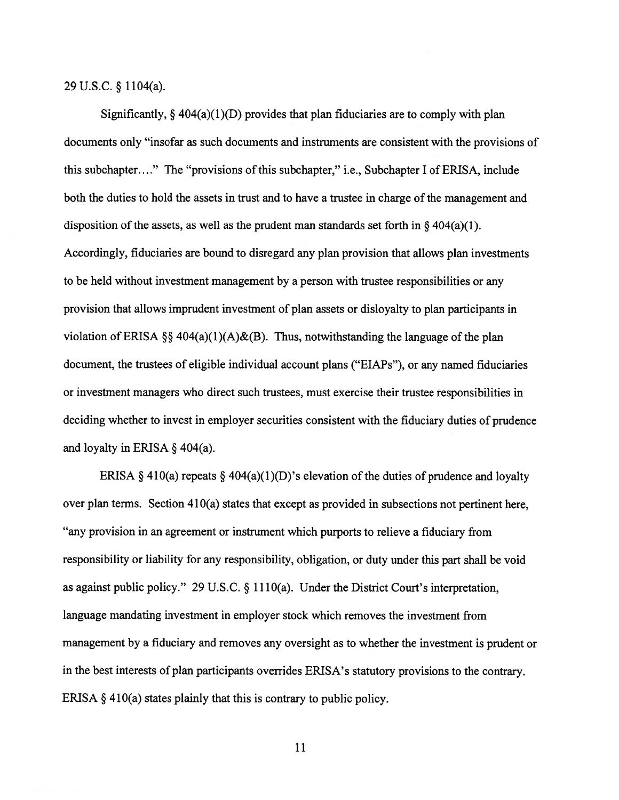<sup>29</sup> U.S.C. § 1104(a).

Significantly,  $\S$  404(a)(1)(D) provides that plan fiduciaries are to comply with plan documents only "insofar as such documents and instruments are consistent with the provisions of this subchapter...." The "provisions of this subchapter," i.e., Subchapter I of ERISA, include both the duties to hold the assets in trust and to have <sup>a</sup> trustee in charge of the managemen<sup>t</sup> and disposition of the assets, as well as the prudent man standards set forth in  $\S$  404(a)(1). Accordingly, fiduciaries are bound to disregard any plan provision that allows plan investments to be held without investment managemen<sup>t</sup> by <sup>a</sup> person with trustee responsibilities or any provision that allows imprudent investment of plan assets or disloyalty to plan participants in violation of ERISA §§ 404(a)(1)(A)&(B). Thus, notwithstanding the language of the plan document, the trustees of eligible individual account plans ("EIAPs"), or any named fiduciaries or investment managers who direct such trustees, must exercise their trustee responsibilities in deciding whether to invest in employer securities consistent with the fiduciary duties of prudence and loyalty in ERISA § 404(a).

ERISA  $\S$  410(a) repeats  $\S$  404(a)(1)(D)'s elevation of the duties of prudence and loyalty over <sup>p</sup>lan terms. Section 410(a) states that excep<sup>t</sup> as provided in subsections not pertinent here, "any provision in an agreemen<sup>t</sup> or instrument which purports to relieve <sup>a</sup> fiduciary from responsibility or liability for any responsibility, obligation, or duty under this par<sup>t</sup> shall be void as against public policy." <sup>29</sup> U.S.C. § 1110(a). Under the District Court's interpretation, language mandating investment in employer stock which removes the investment from managemen<sup>t</sup> by <sup>a</sup> fiduciary and removes any oversight as to whether the investment is prudent or in the best interests of <sup>p</sup>lan participants overrides ERISA's statutory provisions to the contrary. ERISA  $\S$  410(a) states plainly that this is contrary to public policy.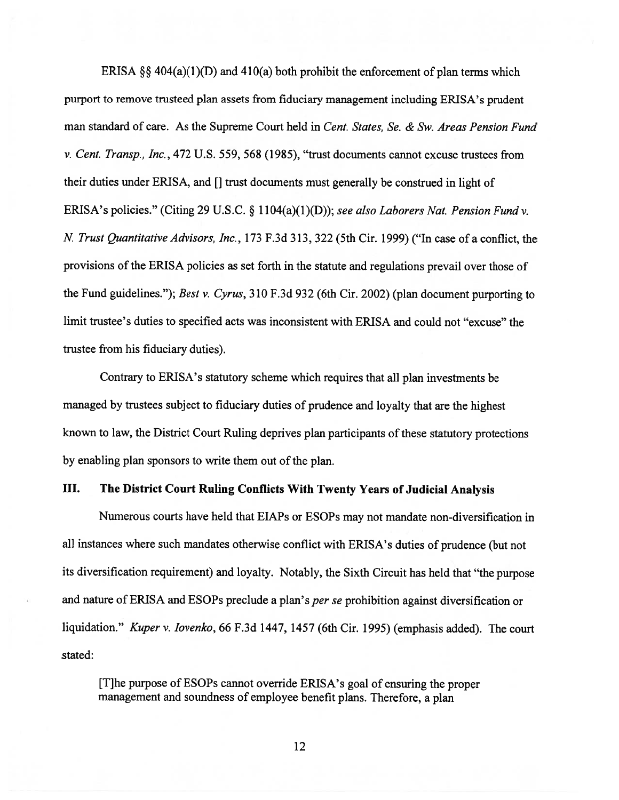ERISA  $\S$ § 404(a)(1)(D) and 410(a) both prohibit the enforcement of plan terms which purpor<sup>t</sup> to remove trusteed <sup>p</sup>lan assets from fiduciary managemen<sup>t</sup> including ERISA's prudent man standard of care. As the Supreme Court held in Cent. States, Se. & Sw. Areas Pension Fund v. Cent. Transp., Inc., 472 U.S. 559, 568 (1985), "trust documents cannot excuse trustees from their duties under ERISA, and [1 trust documents must generally be construed in light of ERISA's policies." (Citing 29 U.S.C. § 1104(a)(1)(D)); see also Laborers Nat. Pension Fund v. N. Trust Quantitative Advisors, Inc., 173 F.3d 313, 322 (5th Cir. 1999) ("In case of a conflict, the provisions of the ERISA policies as set forth in the statute and regulations prevail over those of the Fund guidelines."); Best v. Cyrus, <sup>310</sup> F.3d <sup>932</sup> (6th Cir. 2002) (plan document purporting to limit trustee's duties to specified acts was inconsistent with ERISA and could not "excuse" the trustee from his fiduciary duties).

Contrary to ERISA's statutory scheme which requires that all <sup>p</sup>lan investments be managed by trustees subject to fiduciary duties of prudence and loyalty that are the highest known to law, the District Court Ruling deprives <sup>p</sup>lan participants of these statutory protections by enabling plan sponsors to write them out of the plan.

#### III. The District Court Ruling Conflicts With Twenty Years of Judicial Analysis

Numerous courts have held that EIAPs or ESOPs may not mandate non-diversification in all instances where such mandates otherwise conflict with ERISA's duties of prudence (but not its diversification requirement) and loyalty. Notably, the Sixth Circuit has held that "the purpose and nature of ERISA and ESOPs preclude a plan's *per se* prohibition against diversification or liquidation." Kuper v. Iovenko, 66 F.3d 1447, 1457 (6th Cir. 1995) (emphasis added). The court stated:

[TIhe purpose of ESOPs cannot override ERISA's goa<sup>l</sup> of ensuring the proper managemen<sup>t</sup> and soundness of employee benefit <sup>p</sup>lans. Therefore, <sup>a</sup> <sup>p</sup>lan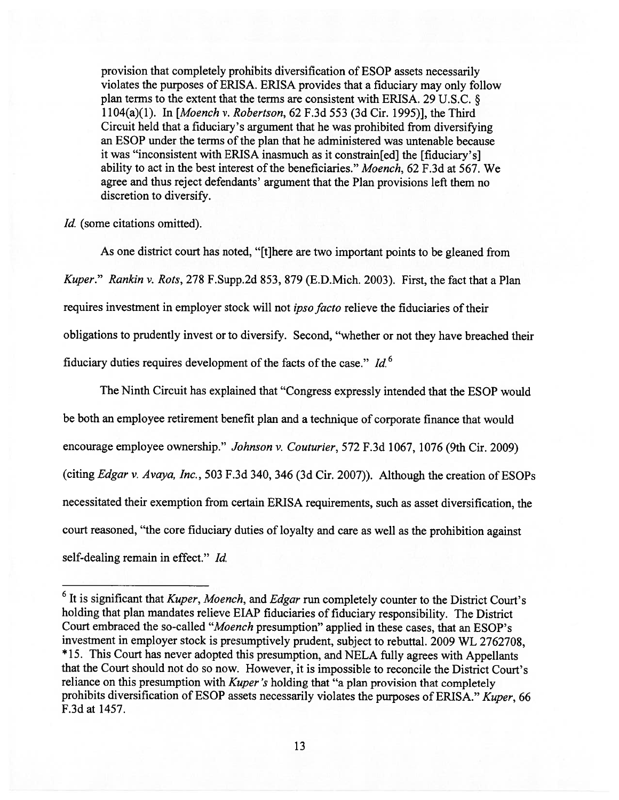provision that completely prohibits diversification of ESOP assets necessarily violates the purposes of ERISA. ERISA provides that <sup>a</sup> fiduciary may only follow <sup>p</sup>lan terms to the extent that the terms are consistent with ERISA. <sup>29</sup> U.S.C. § 1 104(a)(l). In [Moench v. Robertson, 62 F.3d 553 (3d Cir. 1995)], the Third circuit held that <sup>a</sup> fiduciary's argumen<sup>t</sup> that he was prohibited from diversifying an ESOP under the terms of the plan that he administered was untenable because it was "inconsistent with ERISA inasmuch as it constrain[ed] the [fiduciary's] ability to act in the best interest of the beneficiaries." Moench, 62 F.3d at 567. We agree and thus reject defendants' argumen<sup>t</sup> that the Plan provisions left them no discretion to diversify.

Id. (some citations omitted).

As one district court has noted, "[t]here are two important points to be <sup>g</sup>leaned from Kuper." Rankin v. Rots, 278 F.Supp.2d 853, 879 (E.D.Mich. 2003). First, the fact that <sup>a</sup> Plan requires investment in employer stock will not ipso facto relieve the fiduciaries of their obligations to prudently invest or to diversify. Second, "whether or not they have breached their fiduciary duties requires development of the facts of the case."  $Id<sup>6</sup>$ 

The Ninth Circuit has explained that "Congress expressly intended that the ESOP would be both an employee retirement benefit <sup>p</sup>lan and <sup>a</sup> technique of corporate finance that would encourage employee ownership." Johnson v. Couturier, 572 F.3d 1067, 1076 (9th Cir. 2009) (citing Edgar v. Avaya, Inc., <sup>503</sup> F.3d 340, <sup>346</sup> (3d Cir. 2007)). Although the creation of ESOPs necessitated their exemption from certain ERISA requirements, such as asset diversification, the court reasoned, "the core fiduciary duties of loyalty and care as well as the prohibition against self-dealing remain in effect." Id.

 $6$  It is significant that Kuper, Moench, and Edgar run completely counter to the District Court's holding that <sup>p</sup>lan mandates relieve EIAP fiduciaries of fiduciary responsibility. The District Court embraced the so-called "Moench presumption" applied in these cases, that an ESOP's investment in employer stock is presumptively prudent, subject to rebuttal. <sup>2009</sup> WL 2762708, \* 15. This Court has never adopted this presumption, and NELA fully agrees with Appellants that the Court should not do so now. However, it is impossible to reconcile the District Court's reliance on this presumption with Kuper's holding that "a plan provision that completely prohibits diversification of ESOP assets necessarily violates the purposes of ERISA." Kuper, 66 F.3d at 1457.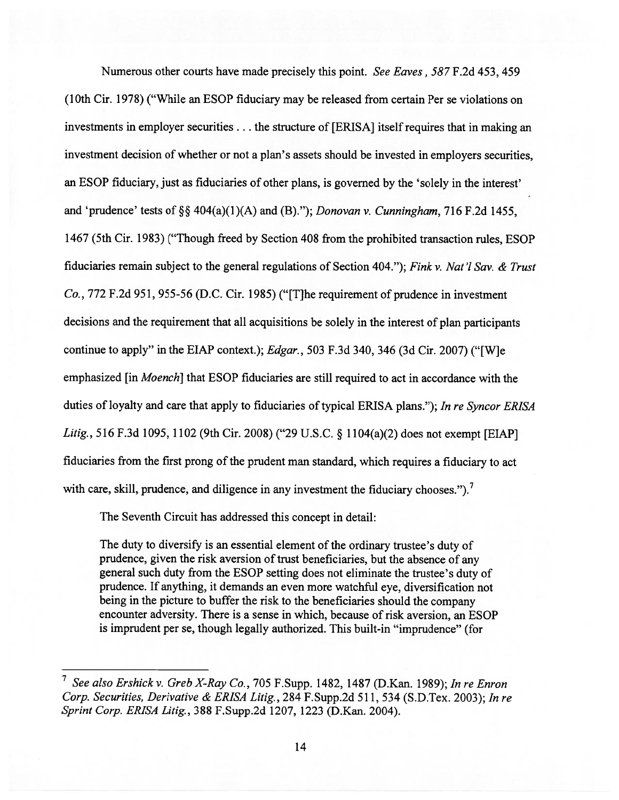Numerous other courts have made precisely this point. See Eaves, 587 F.2d 453, 459 (10th Cir. 1978) ("While an ESOP fiduciary may be released from certain Per se violations on investments in employer securities. . . the structure of [ERISA] itself requires that in making an investment decision of whether or not <sup>a</sup> <sup>p</sup>lan's assets should be invested in employers securities, an ESOP fiduciary, just as fiduciaries of other plans, is governed by the 'solely in the interest' and 'prudence' tests of  $\S$  404(a)(1)(A) and (B)."); Donovan v. Cunningham, 716 F.2d 1455, 1467 (5th Cir. 1983) ("Though freed by Section 408 from the prohibited transaction rules, ESOP fiduciaries remain subject to the genera<sup>l</sup> regulations of Section 404."); Fink v. Nat '1 Say. & Trust Co., 772 F.2d 951, 955-56 (D.C. Cir. 1985) ("[T]he requirement of prudence in investment decisions and the requirement that all acquisitions be solely in the interest of <sup>p</sup>lan participants continue to apply" in the ETAP context.); Edgar., 503 F.3d 340, 346 (3d Cir. 2007) ("[W]e emphasized [in Moench] that ESOP fiduciaries are still required to act in accordance with the duties of loyalty and care that apply to fiduciaries of typical ERISA <sup>p</sup>lans."); In re Syncor ERISA Litig., <sup>516</sup> F.3d 1095, <sup>1102</sup> (9th Cir. 2008) ("29 U.S.C. § <sup>1</sup> 104(a)(2) does not exemp<sup>t</sup> [EIAP] fiduciaries from the first prong of the prudent man standard, which requires <sup>a</sup> fiduciary to act with care, skill, prudence, and diligence in any investment the fiduciary chooses.").<sup>7</sup>

The Seventh Circuit has addressed this concep<sup>t</sup> in detail:

The duty to diversify is an essential element of the ordinary trustee's duty of prudence, <sup>g</sup>iven the risk aversion of trust beneficiaries, but the absence of any genera<sup>l</sup> such duty from the ESOP setting does not eliminate the trustee's duty of prudence. If anything, it demands an even more watchful eye, diversification not being in the <sup>p</sup>icture to buffer the risk to the beneficiaries should the company encounter adversity. There is <sup>a</sup> sense in which, because of risk aversion, an ESOP is imprudent per se, though legally authorized. This built-in "imprudence" (for

See also Ershick v. Greb X-Ray Co., 705 F.Supp. 1482, 1487 (D.Kan. 1989); In re Enron Corp. Securities, Derivative & ERISA Litig., 284 F.Supp.2d 511, 534 (S.D.Tex. 2003); In re Sprint Corp. ERISA Litig., 388 F.Supp.2d 1207, 1223 (D.Kan. 2004).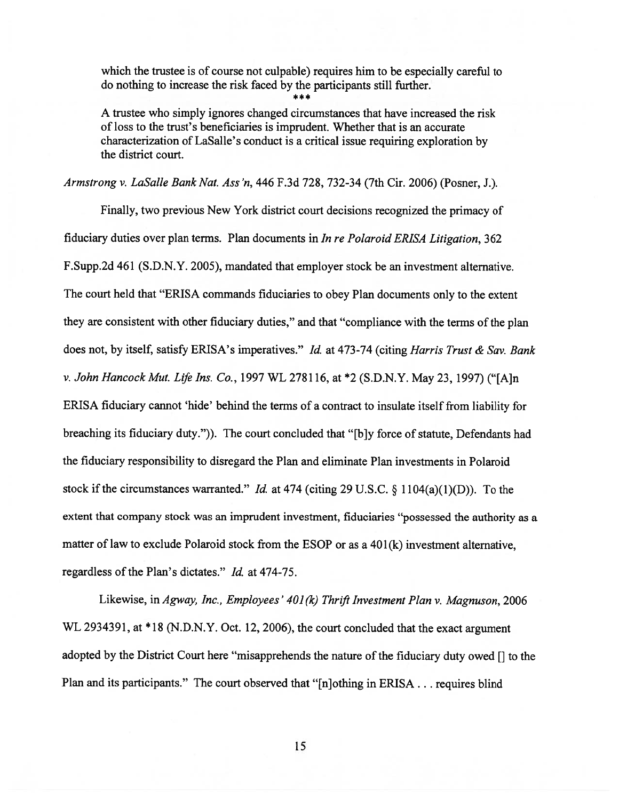which the trustee is of course not culpable) requires him to be especially careful to do nothing to increase the risk faced by the participants still further.

A trustee who simply ignores changed circumstances that have increased the risk of loss to the trust's beneficiaries is imprudent. Whether that is an accurate characterization of LaSalle's conduct is <sup>a</sup> critical issue requiring exploration by the district court.

Armstrong v. LaSalle Bank Nat. Ass 'n, 446 F.3d 728, 732-34 (7th Cir. 2006) (Posner, J.).

Finally, two previous New York district court decisions recognized the primacy of fiduciary duties over <sup>p</sup>lan terms. Plan documents in In re Polaroid ERISA Litigation, 362 F.Supp.2d 461 (S.D.N.Y. 2005), mandated that employer stock be an investment alternative. The court held that "ERISA commands fiduciaries to obey Plan documents only to the extent they are consistent with other fiduciary duties," and that "compliance with the terms of the <sup>p</sup>lan does not, by itself, satisfy ERISA's imperatives." Id. at 473-74 (citing Harris Trust & Sav. Bank v. John Hancock Mut. Life Ins. Co., <sup>1997</sup> WL 278116, at \*2 (S.D.N.Y. May 23, 1997) ("[A]n ERISA fiduciary cannot 'hide' behind the terms of <sup>a</sup> contract to insulate itself from liability for breaching its fiduciary duty.")). The court concluded that "[bjy force of statute, Defendants had the fiduciary responsibility to disregard the Plan and eliminate Plan investments in Polaroid stock if the circumstances warranted." *Id.* at 474 (citing 29 U.S.C. § 1104(a)(1)(D)). To the extent that company stock was an imprudent investment, fiduciaries "possessed the authority as <sup>a</sup> matter of law to exclude Polaroid stock from the ESOP or as <sup>a</sup> 401(k) investment alternative, regardless of the Plan's dictates." Id. at 474-75.

Likewise, in Agway, Inc., Employees'  $401(k)$  Thrift Investment Plan v. Magnuson, 2006 WL 2934391, at \*18 (N.D.N.Y. Oct. 12, 2006), the court concluded that the exact argument adopted by the District Court here "misapprehends the nature of the fiduciary duty owed  $\left[\right]$  to the Plan and its participants." The court observed that "[n]othing in ERISA... requires blind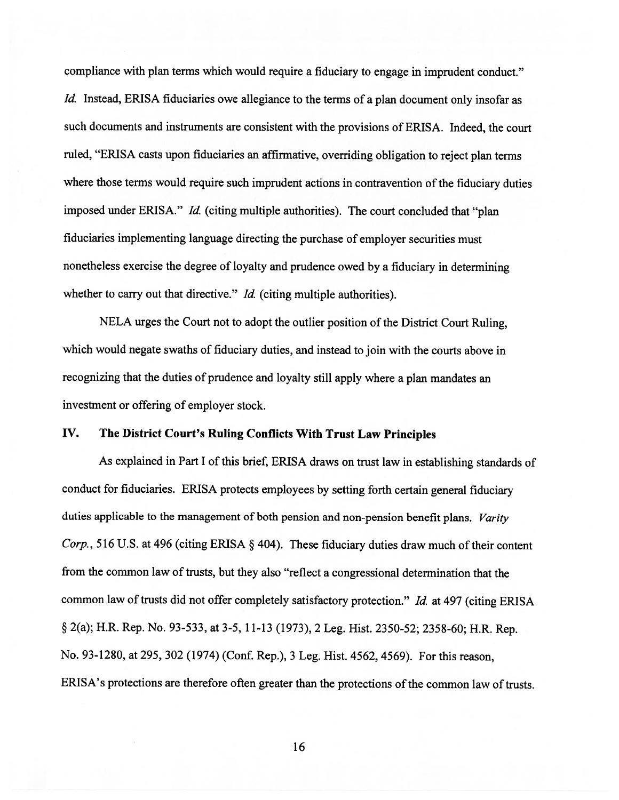compliance with <sup>p</sup>lan terms which would require <sup>a</sup> fiduciary to engage in imprudent conduct." Id. Instead, ERISA fiduciaries owe allegiance to the terms of a plan document only insofar as such documents and instruments are consistent with the provisions of ERISA. Indeed, the court ruled, "ERISA casts upon fiduciaries an affirmative, overriding obligation to reject <sup>p</sup>lan terms where those terms would require such imprudent actions in contravention of the fiduciary duties imposed under ERISA." Id. (citing multiple authorities). The court concluded that "plan fiduciaries implementing language directing the purchase of employer securities must nonetheless exercise the degree of loyalty and prudence owed by <sup>a</sup> fiduciary in determining whether to carry out that directive." *Id.* (citing multiple authorities).

NELA urges the Court not to adopt the outlier position of the District Court Ruling, which would negate swaths of fiduciary duties, and instead to join with the courts above in recognizing that the duties of prudence and loyalty still apply where <sup>a</sup> <sup>p</sup>lan mandates an investment or offering of employer stock.

## IV. The District Court's Ruling Conflicts With Trust Law Principles

As explained in Part <sup>I</sup> of this brief, ERISA draws on trust law in establishing standards of conduct for fiduciaries. ERISA protects employees by setting forth certain genera<sup>l</sup> fiduciary duties applicable to the management of both pension and non-pension benefit plans. Varity Corp., 516 U.S. at 496 (citing ERISA  $\S$  404). These fiduciary duties draw much of their content from the common law of trusts, but they also "reflect <sup>a</sup> congressional determination that the common law of trusts did not offer completely satisfactory protection." Id. at 497 (citing ERISA § 2(a); H.R. Rep. No. 93-533, at 3-5, 11-13 (1973), <sup>2</sup> Leg. Hist. 2350-52; 2358-60; H.R. Rep. No. 93-1280, at 295, <sup>302</sup> (1974) (Conf. Rep.), <sup>3</sup> Leg. Hist. 4562, 4569). For this reason, ERISA's protections are therefore often greater than the protections of the common law of trusts.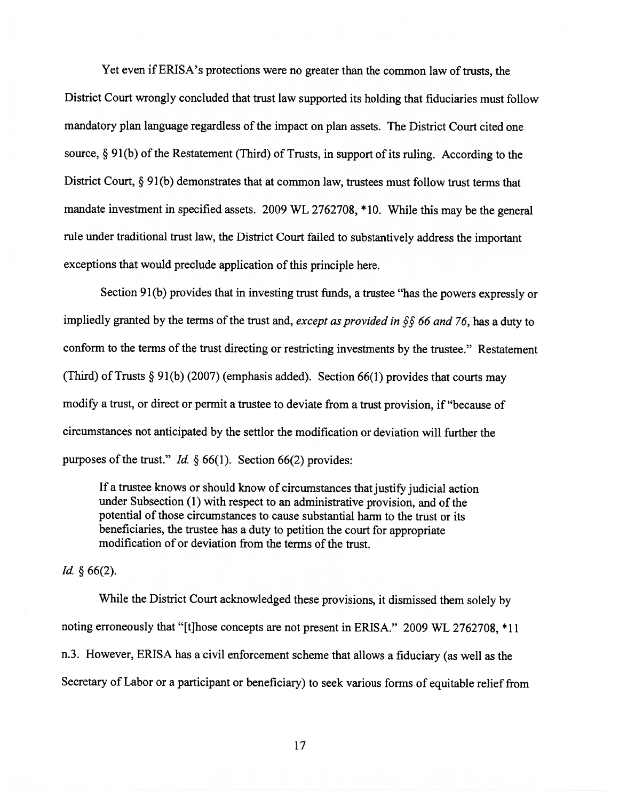Yet even if ERISA's protections were no greater than the common law of trusts, the District Court wrongly concluded that trust law supported its holding that fiduciaries must follow mandatory <sup>p</sup>lan language regardless of the impact on <sup>p</sup>lan assets. The District Court cited one source,  $\S 91(b)$  of the Restatement (Third) of Trusts, in support of its ruling. According to the District Court, § 91(b) demonstrates that at common law, trustees must follow trust terms that mandate investment in specified assets. <sup>2009</sup> WL 2762708, \*10. While this may be the genera<sup>l</sup> rule under traditional trust law, the District Court failed to substantively address the important exceptions that would preclude application of this principle here.

Section 91(b) provides that in investing trust funds, <sup>a</sup> trustee "has the powers expressly or impliedly granted by the terms of the trust and, except as provided in  $\S$  66 and 76, has a duty to conform to the terms of the trust directing or restricting investments by the trustee." Restatement (Third) of Trusts § 91(b) (2007) (emphasis added). Section 66(1) provides that courts may modify <sup>a</sup> trust, or direct or permit <sup>a</sup> trustee to deviate from <sup>a</sup> trust provision, if "because of circumstances not anticipated by the settlor the modification or deviation will further the purposes of the trust." Id.  $\S 66(1)$ . Section 66(2) provides:

If <sup>a</sup> trustee knows or should know of circumstances that justify judicial action under Subsection (1) with respec<sup>t</sup> to an administrative provision, and of the potential of those circumstances to cause substantial harm to the trust or its beneficiaries, the trustee has <sup>a</sup> duty to petition the court for appropriate modification of or deviation from the terms of the trust.

*Id.*  $§ 66(2)$ .

While the District Court acknowledged these provisions, it dismissed them solely by noting erroneously that "[t]hose concepts are not presen<sup>t</sup> in ERISA." 2009 WL 2762708, \* <sup>11</sup> n.3. However, ERISA has <sup>a</sup> civil enforcement scheme that allows <sup>a</sup> fiduciary (as well as the Secretary of Labor or <sup>a</sup> participant or beneficiary) to seek various forms of equitable relief from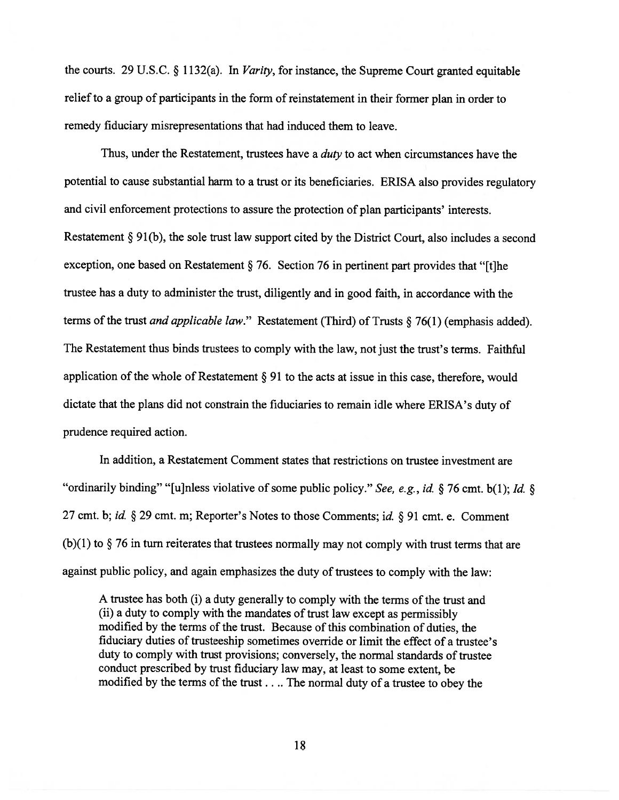the courts. <sup>29</sup> U.S.C. § 1132(a). In Varity, for instance, the Supreme Court granted equitable relief to <sup>a</sup> group of participants in the form of reinstatement in their former <sup>p</sup>lan in order to remedy fiduciary misrepresentations that had induced them to leave.

Thus, under the Restatement, trustees have a *duty* to act when circumstances have the potential to cause substantial harm to <sup>a</sup> trust or its beneficiaries. ERISA also provides regulatory and civil enforcement protections to assure the protection of <sup>p</sup>lan participants' interests. Restatement § 91(b), the sole trust law suppor<sup>t</sup> cited by the District Court, also includes <sup>a</sup> second exception, one based on Restatement § 76. Section <sup>76</sup> in pertinent par<sup>t</sup> provides that "[t]he trustee has <sup>a</sup> duty to administer the trust, diligently and in good faith, in accordance with the terms of the trust *and applicable law*." Restatement (Third) of Trusts  $\S$  76(1) (emphasis added). The Restatement thus binds trustees to comply with the law, not just the trust's terms. Faithful application of the whole of Restatement  $\S 91$  to the acts at issue in this case, therefore, would dictate that the <sup>p</sup>lans did not constrain the fiduciaries to remain idle where ERISA's duty of prudence required action.

In addition, <sup>a</sup> Restatement Comment states that restrictions on trustee investment are "ordinarily binding" "[u]nless violative of some public policy." See, e.g., id. § 76 cmt. b(1); Id. § <sup>27</sup> cmt. b; id. § <sup>29</sup> cmt. m; Reporter's Notes to those Comments; id. § <sup>91</sup> cmt. e. Comment  $(b)(1)$  to  $\S$  76 in turn reiterates that trustees normally may not comply with trust terms that are against public policy, and again emphasizes the duty of trustees to comply with the law:

A trustee has both (i) a duty generally to comply with the terms of the trust and (ii) <sup>a</sup> duty to comply with the mandates of trust law excep<sup>t</sup> as permissibly modified by the terms of the trust. Because of this combination of duties, the fiduciary duties of trusteeship sometimes override or limit the effect of <sup>a</sup> trustee's duty to comply with trust provisions; conversely, the normal standards of trustee conduct prescribed by trust fiduciary law may, at least to some extent, be modified by the terms of the trust.. .. The normal duty of <sup>a</sup> trustee to obey the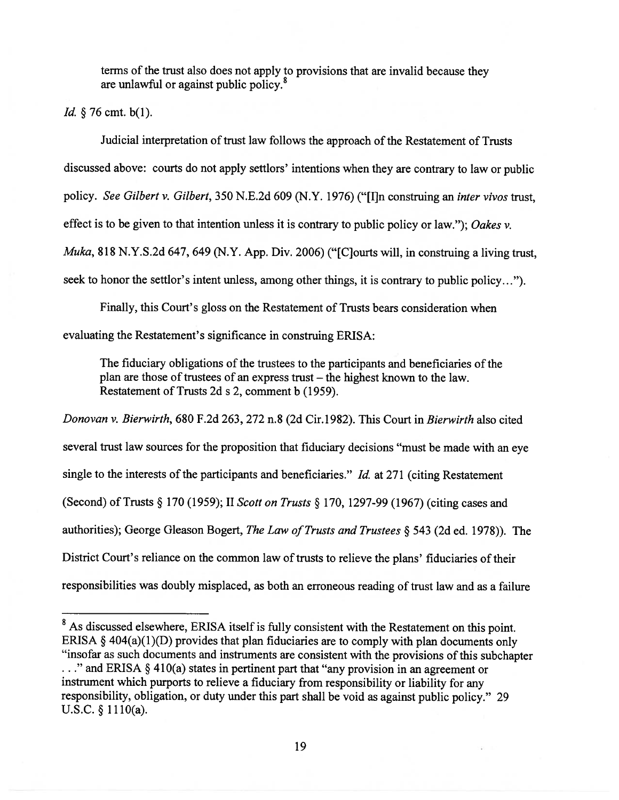terms of the trust also does not apply to provisions that are invalid because they are unlawful or against public policy. 8

Id. § 76 cmt. b(1).

Judicial interpretation of trust law follows the approach of the Restatement of Trusts discussed above: courts do not apply settlors' intentions when they are contrary to law or public policy. See Gilbert v. Gilbert, <sup>350</sup> N.E.2d 609 (N.Y. 1976) ("[I]n construing an inter vivos trust, effect is to be given to that intention unless it is contrary to public policy or law."); Oakes  $v$ . Muka, 818 N.Y.S.2d 647, 649 (N.Y. App. Div. 2006) ("[C]ourts will, in construing a living trust, seek to honor the settlor's intent unless, among other things, it is contrary to public policy...").

Finally, this Court's gloss on the Restatement of Trusts bears consideration when evaluating the Restatement's significance in construing ERISA:

The fiduciary obligations of the trustees to the participants and beneficiaries of the plan are those of trustees of an express trust — the highest known to the law. Restatement of Trusts 2d <sup>s</sup> 2, comment b (1959).

Donovan v. Bierwirth, 680 F.2d 263, 272 n.8 (2d Cir.1982). This Court in Bierwirth also cited several trust law sources for the proposition that fiduciary decisions "must be made with an eye single to the interests of the participants and beneficiaries."  $Id$  at 271 (citing Restatement (Second) of Trusts § <sup>170</sup> (1959); II Scott on Trusts § 170, 1297-99 (1967) (citing cases and authorities); George Gleason Bogert, The Law of Trusts and Trustees  $\S$  543 (2d ed. 1978)). The District Court's reliance on the common law of trusts to relieve the plans' fiduciaries of their responsibilities was doubly misplaced, as both an erroneous reading of trust law and as <sup>a</sup> failure

<sup>&</sup>lt;sup>8</sup> As discussed elsewhere, ERISA itself is fully consistent with the Restatement on this point. ERISA  $\S$  404(a)(1)(D) provides that plan fiduciaries are to comply with plan documents only "insofar as such documents and instruments are consistent with the provisions of this subchapter • ." and ERISA § 410(a) states in pertinent par<sup>t</sup> that "any provision in an agreemen<sup>t</sup> or instrument which purports to relieve <sup>a</sup> fiduciary from responsibility or liability for any responsibility, obligation, or duty under this par<sup>t</sup> shall be void as against public policy." <sup>29</sup> U.S.C. § 1110(a).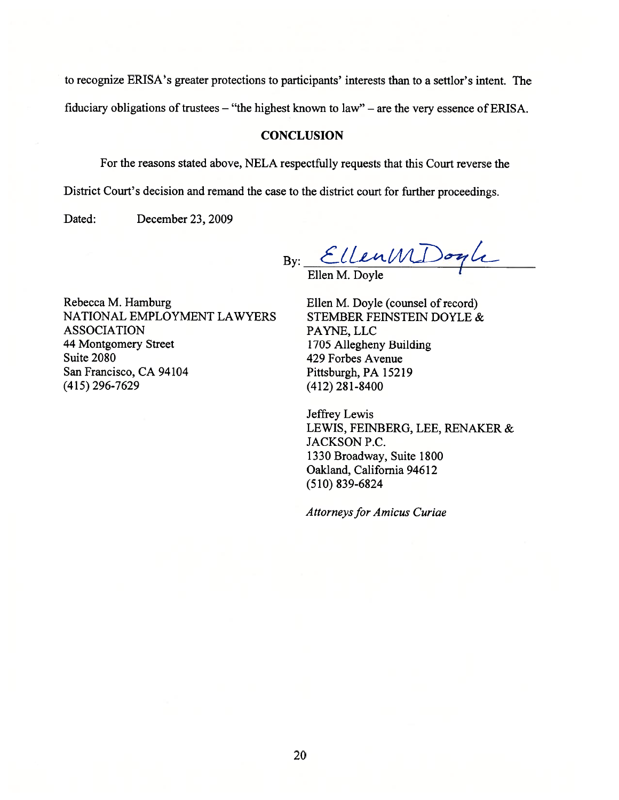to recognize ERISA's greater protections to participants' interests than to <sup>a</sup> settlor's intent. The

fiduciary obligations of trustees — "the highest known to law" — are the very essence of ERISA.

#### **CONCLUSION**

For the reasons stated above, NELA respectfully requests that this Court reverse the

District Court's decision and remand the case to the district court for further proceedings.

Dated: December 23, 2009

 $By:$  Clientification of the set of the set of the set of the set of the set of the set of the set of the set of the set of the set of the set of the set of the set of the set of the set of the set of the set of the set o Ellen M. Doyle

Rebecca M. Hamburg Ellen M. Doyle (counsel of record) NATIONAL EMPLOYMENT LAWYERS STEMBER FEINSTEIN DOYLE & ASSOCIATION PAYNE, LLC 44 Montgomery Street 1705 Allegheny Building Suite 2080 429 Forbes Avenue San Francisco, CA 94104 Pittsburgh, PA 15219 (415) 296-7629 (412) 281-8400

Jeffrey Lewis LEWIS, FEINBERG, LEE, RENAKER & JACKSON P.C. 1330 Broadway, Suite 1800 Oakland, California 94612 (510) 839-6824

Attorneys for Amicus Curiae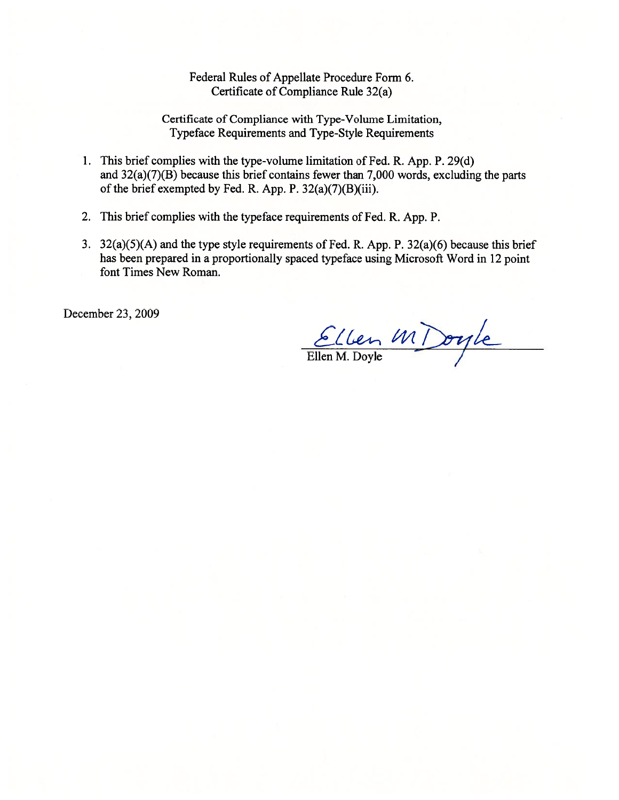Federal Rules of Appellate Procedure Form 6. Certificate of Compliance Rule 32(a)

Certificate of Compliance with Type-Volume Limitation, Typeface Requirements and Type-Style Requirements

- 1. This brief complies with the type-volume limitation of Fed. R. App. P. 29(d) and 32(a)(7)(B) because this brief contains fewer than 7,000 words, excluding the parts of the brief exempted by Fed. R. App. P. 32(a)(7)(B)(iii).
- 2. This brief complies with the typeface requirements of Fed. R. App. P.
- 3. 32(a)(5)(A) and the type style requirements of Fed. R. App. P. 32(a)(6) because this brief has been prepared in <sup>a</sup> proportionally spaced typeface using Microsoft Word in 12 point font Times New Roman.

December 23, 2009

Ellen MDoyle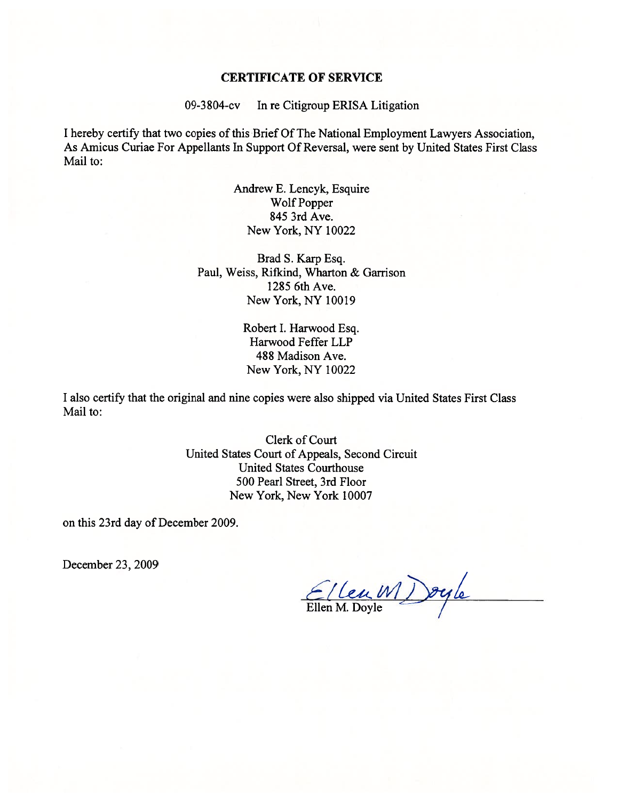#### CERTIFICATE OF SERVICE

09-3804-cv In re Citigroup ERISA Litigation

I hereby certify that two copies of this Brief Of The National Employment Lawyers Association, As Amicus Curiae For Appellants In Support Of Reversal, were sent by United States First Class Mail to:

> Andrew E. Lencyk, Esquire Wolf Popper 845 3rd Ave. New York, NY 10022

Brad S. Karp Esq. Paul, Weiss, Rifkind, Wharton & Garrison 1285 6th Ave. New York, NY 10019

> Robert I. Harwood Esq. Harwood Feffer LLP 488 Madison Ave. New York, NY 10022

I also certify that the original and nine copies were also shipped via United States First Class Mail to:

> Clerk of Court United States Court of Appeals, Second Circuit United States Courthouse 500 Pearl Street, 3rd Floor New York, New York 10007

on this 23rd day of December 2009.

December 23, 2009

Ellen MDoyle